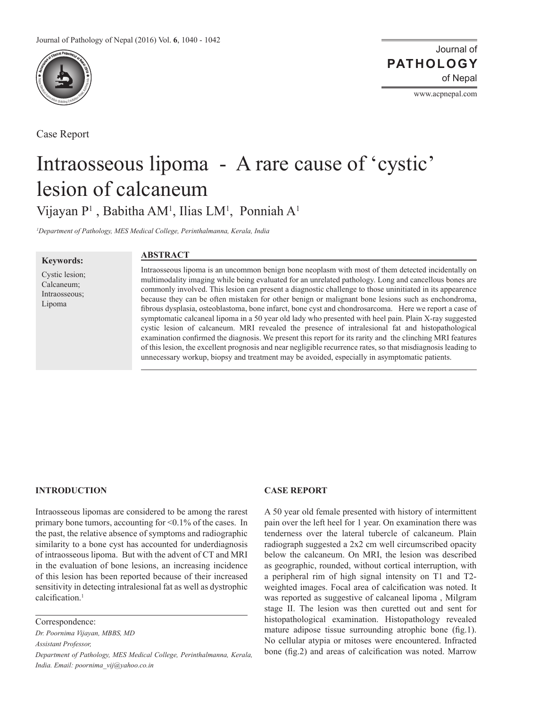

Case Report

Journal of of Nepal **PATHOLOGY**

www.acpnepal.com

# Intraosseous lipoma - A rare cause of 'cystic' lesion of calcaneum Vijayan P<sup>1</sup>, Babitha AM<sup>1</sup>, Ilias LM<sup>1</sup>, Ponniah A<sup>1</sup>

*1 Department of Pathology, MES Medical College, Perinthalmanna, Kerala, India*

**Keywords:**

Cystic lesion; Calcaneum; Intraosseous; Lipoma

## **ABSTRACT**

Intraosseous lipoma is an uncommon benign bone neoplasm with most of them detected incidentally on multimodality imaging while being evaluated for an unrelated pathology. Long and cancellous bones are commonly involved. This lesion can present a diagnostic challenge to those uninitiated in its appearence because they can be often mistaken for other benign or malignant bone lesions such as enchondroma, fibrous dysplasia, osteoblastoma, bone infarct, bone cyst and chondrosarcoma. Here we report a case of symptomatic calcaneal lipoma in a 50 year old lady who presented with heel pain. Plain X-ray suggested cystic lesion of calcaneum. MRI revealed the presence of intralesional fat and histopathological examination confirmed the diagnosis. We present this report for its rarity and the clinching MRI features of this lesion, the excellent prognosis and near negligible recurrence rates, so that misdiagnosis leading to unnecessary workup, biopsy and treatment may be avoided, especially in asymptomatic patients.

#### **INTRODUCTION**

Intraosseous lipomas are considered to be among the rarest primary bone tumors, accounting for <0.1% of the cases. In the past, the relative absence of symptoms and radiographic similarity to a bone cyst has accounted for underdiagnosis of intraosseous lipoma. But with the advent of CT and MRI in the evaluation of bone lesions, an increasing incidence of this lesion has been reported because of their increased sensitivity in detecting intralesional fat as well as dystrophic calcification<sup>1</sup>

Correspondence:

*Dr. Poornima Vijayan, MBBS, MD Assistant Professor, Department of Pathology, MES Medical College, Perinthalmanna, Kerala, India. Email: poornima\_vij@yahoo.co.in*

### **Case Report**

A 50 year old female presented with history of intermittent pain over the left heel for 1 year. On examination there was tenderness over the lateral tubercle of calcaneum. Plain radiograph suggested a 2x2 cm well circumscribed opacity below the calcaneum. On MRI, the lesion was described as geographic, rounded, without cortical interruption, with a peripheral rim of high signal intensity on T1 and T2 weighted images. Focal area of calcification was noted. It was reported as suggestive of calcaneal lipoma , Milgram stage II. The lesion was then curetted out and sent for histopathological examination. Histopathology revealed mature adipose tissue surrounding atrophic bone (fig.1). No cellular atypia or mitoses were encountered. Infracted bone (fig.2) and areas of calcification was noted. Marrow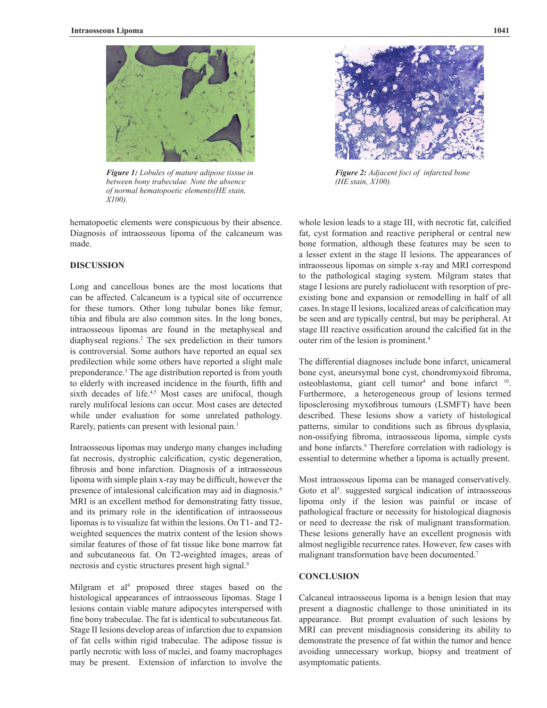

*Figure 1: Lobules of mature adipose tissue in between bony trabeculae. Note the absence of normal hematopoetic elements(HE stain, X100).*

hematopoetic elements were conspicuous by their absence. Diagnosis of intraosseous lipoma of the calcaneum was made.

## **DISCUSSION**

Long and cancellous bones are the most locations that can be affected. Calcaneum is a typical site of occurrence for these tumors. Other long tubular bones like femur, tibia and fibula are also common sites. In the long bones, intraosseous lipomas are found in the metaphyseal and diaphyseal regions.2 The sex predeliction in their tumors is controversial. Some authors have reported an equal sex predilection while some others have reported a slight male preponderance.3 The age distribution reported is from youth to elderly with increased incidence in the fourth, fifth and sixth decades of life.<sup>4,5</sup> Most cases are unifocal, though rarely mulifocal lesions can occur. Most cases are detected while under evaluation for some unrelated pathology. Rarely, patients can present with lesional pain.<sup>1</sup>

Intraosseous lipomas may undergo many changes including fat necrosis, dystrophic calcification, cystic degeneration, fibrosis and bone infarction. Diagnosis of a intraosseous lipoma with simple plain x-ray may be difficult, however the presence of intalesional calcification may aid in diagnosis.<sup>6</sup> MRI is an excellent method for demonstrating fatty tissue, and its primary role in the identification of intraosseous lipomas is to visualize fat within the lesions. On T1- and T2 weighted sequences the matrix content of the lesion shows similar features of those of fat tissue like bone marrow fat and subcutaneous fat. On T2-weighted images, areas of necrosis and cystic structures present high signal.<sup>9</sup>

Milgram et al<sup>4</sup> proposed three stages based on the histological appearances of intraosseous lipomas. Stage I lesions contain viable mature adipocytes interspersed with fine bony trabeculae. The fat is identical to subcutaneous fat. Stage II lesions develop areas of infarction due to expansion of fat cells within rigid trabeculae. The adipose tissue is partly necrotic with loss of nuclei, and foamy macrophages may be present. Extension of infarction to involve the



*Figure 2: Adjacent foci of infarcted bone (HE stain, X100).*

whole lesion leads to a stage III, with necrotic fat, calcified fat, cyst formation and reactive peripheral or central new bone formation, although these features may be seen to a lesser extent in the stage II lesions. The appearances of intraosseous lipomas on simple x-ray and MRI correspond to the pathological staging system. Milgram states that stage I lesions are purely radiolucent with resorption of preexisting bone and expansion or remodelling in half of all cases. In stage II lesions, localized areas of calcification may be seen and are typically central, but may be peripheral. At stage III reactive ossification around the calcified fat in the outer rim of the lesion is prominent.4

The differential diagnoses include bone infarct, unicameral bone cyst, aneursymal bone cyst, chondromyxoid fibroma,  $osteoblastoma$ , giant cell tumor<sup>4</sup> and bone infarct  $10$ . Furthermore, a heterogeneous group of lesions termed liposclerosing myxofibrous tumours (LSMFT) have been described. These lesions show a variety of histological patterns, similar to conditions such as fibrous dysplasia, non-ossifying fibroma, intraosseous lipoma, simple cysts and bone infarcts.<sup>9</sup> Therefore correlation with radiology is essential to determine whether a lipoma is actually present.

Most intraosseous lipoma can be managed conservatively. Goto et al<sup>5</sup>. suggested surgical indication of intraosseous lipoma only if the lesion was painful or incase of pathological fracture or necessity for histological diagnosis or need to decrease the risk of malignant transformation. These lesions generally have an excellent prognosis with almost negligible recurrence rates. However, few cases with malignant transformation have been documented.7

## **CONCLUSION**

Calcaneal intraosseous lipoma is a benign lesion that may present a diagnostic challenge to those uninitiated in its appearance. But prompt evaluation of such lesions by MRI can prevent misdiagnosis considering its ability to demonstrate the presence of fat within the tumor and hence avoiding unnecessary workup, biopsy and treatment of asymptomatic patients.